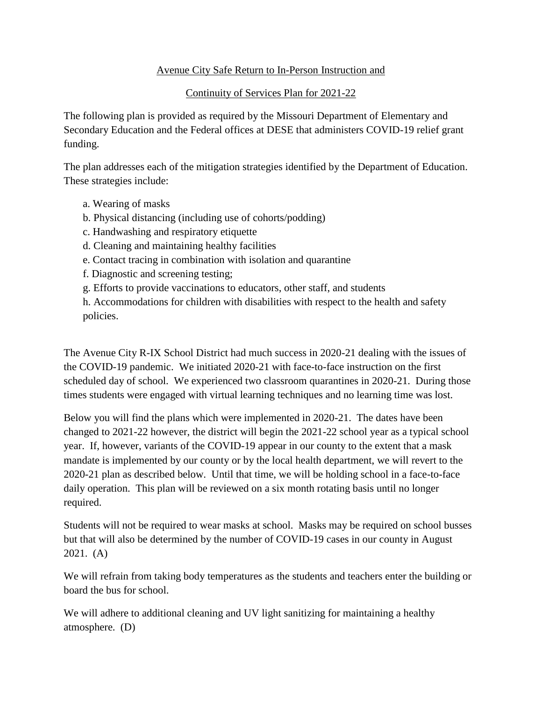## Avenue City Safe Return to In-Person Instruction and

### Continuity of Services Plan for 2021-22

The following plan is provided as required by the Missouri Department of Elementary and Secondary Education and the Federal offices at DESE that administers COVID-19 relief grant funding.

The plan addresses each of the mitigation strategies identified by the Department of Education. These strategies include:

- a. Wearing of masks
- b. Physical distancing (including use of cohorts/podding)
- c. Handwashing and respiratory etiquette
- d. Cleaning and maintaining healthy facilities
- e. Contact tracing in combination with isolation and quarantine
- f. Diagnostic and screening testing;
- g. Efforts to provide vaccinations to educators, other staff, and students

h. Accommodations for children with disabilities with respect to the health and safety policies.

The Avenue City R-IX School District had much success in 2020-21 dealing with the issues of the COVID-19 pandemic. We initiated 2020-21 with face-to-face instruction on the first scheduled day of school. We experienced two classroom quarantines in 2020-21. During those times students were engaged with virtual learning techniques and no learning time was lost.

Below you will find the plans which were implemented in 2020-21. The dates have been changed to 2021-22 however, the district will begin the 2021-22 school year as a typical school year. If, however, variants of the COVID-19 appear in our county to the extent that a mask mandate is implemented by our county or by the local health department, we will revert to the 2020-21 plan as described below. Until that time, we will be holding school in a face-to-face daily operation. This plan will be reviewed on a six month rotating basis until no longer required.

Students will not be required to wear masks at school. Masks may be required on school busses but that will also be determined by the number of COVID-19 cases in our county in August 2021. (A)

We will refrain from taking body temperatures as the students and teachers enter the building or board the bus for school.

We will adhere to additional cleaning and UV light sanitizing for maintaining a healthy atmosphere. (D)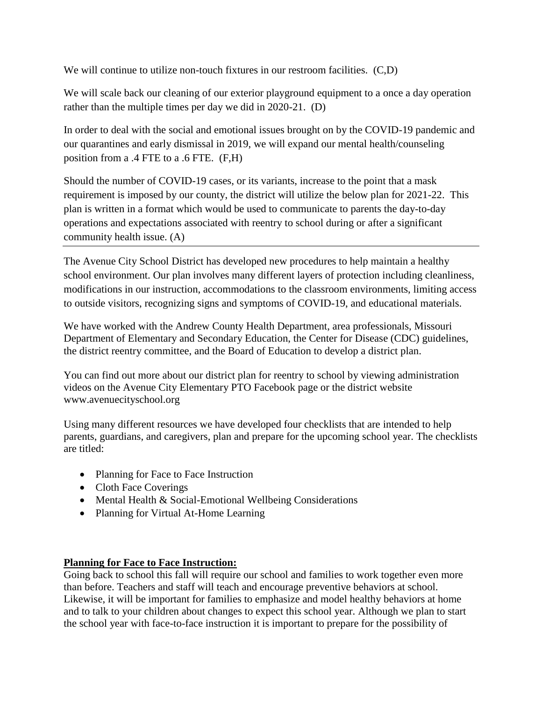We will continue to utilize non-touch fixtures in our restroom facilities. (C,D)

We will scale back our cleaning of our exterior playground equipment to a once a day operation rather than the multiple times per day we did in 2020-21. (D)

In order to deal with the social and emotional issues brought on by the COVID-19 pandemic and our quarantines and early dismissal in 2019, we will expand our mental health/counseling position from a .4 FTE to a .6 FTE. (F,H)

Should the number of COVID-19 cases, or its variants, increase to the point that a mask requirement is imposed by our county, the district will utilize the below plan for 2021-22. This plan is written in a format which would be used to communicate to parents the day-to-day operations and expectations associated with reentry to school during or after a significant community health issue. (A)

The Avenue City School District has developed new procedures to help maintain a healthy school environment. Our plan involves many different layers of protection including cleanliness, modifications in our instruction, accommodations to the classroom environments, limiting access to outside visitors, recognizing signs and symptoms of COVID-19, and educational materials.

We have worked with the Andrew County Health Department, area professionals, Missouri Department of Elementary and Secondary Education, the Center for Disease (CDC) guidelines, the district reentry committee, and the Board of Education to develop a district plan.

You can find out more about our district plan for reentry to school by viewing administration videos on the Avenue City Elementary PTO Facebook page or the district website www.avenuecityschool.org

Using many different resources we have developed four checklists that are intended to help parents, guardians, and caregivers, plan and prepare for the upcoming school year. The checklists are titled:

- Planning for Face to Face Instruction
- Cloth Face Coverings
- Mental Health & Social-Emotional Wellbeing Considerations
- Planning for Virtual At-Home Learning

#### **Planning for Face to Face Instruction:**

Going back to school this fall will require our school and families to work together even more than before. Teachers and staff will teach and encourage preventive behaviors at school. Likewise, it will be important for families to emphasize and model healthy behaviors at home and to talk to your children about changes to expect this school year. Although we plan to start the school year with face-to-face instruction it is important to prepare for the possibility of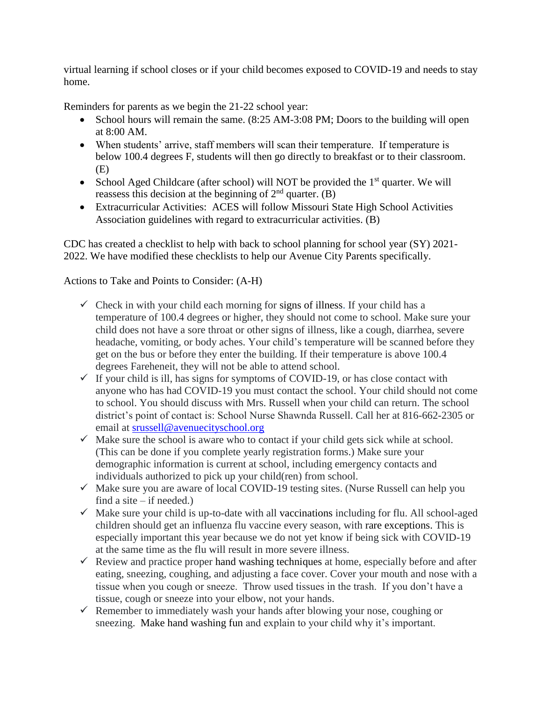virtual learning if school closes or if your child becomes exposed to COVID-19 and needs to stay home.

Reminders for parents as we begin the 21-22 school year:

- School hours will remain the same. (8:25 AM-3:08 PM; Doors to the building will open at 8:00 AM.
- When students' arrive, staff members will scan their temperature. If temperature is below 100.4 degrees F, students will then go directly to breakfast or to their classroom. (E)
- School Aged Childcare (after school) will NOT be provided the  $1<sup>st</sup>$  quarter. We will reassess this decision at the beginning of  $2<sup>nd</sup>$  quarter. (B)
- Extracurricular Activities: ACES will follow Missouri State High School Activities Association guidelines with regard to extracurricular activities. (B)

CDC has created a checklist to help with back to school planning for school year (SY) 2021- 2022. We have modified these checklists to help our Avenue City Parents specifically.

#### Actions to Take and Points to Consider: (A-H)

- $\checkmark$  Check in with your child each morning for signs of illness. If your child has a temperature of 100.4 degrees or higher, they should not come to school. Make sure your child does not have a sore throat or other signs of illness, like a cough, diarrhea, severe headache, vomiting, or body aches. Your child's temperature will be scanned before they get on the bus or before they enter the building. If their temperature is above 100.4 degrees Fareheneit, they will not be able to attend school.
- $\checkmark$  If your child is ill, has signs for symptoms of COVID-19, or has close contact with anyone who has had COVID-19 you must contact the school. Your child should not come to school. You should discuss with Mrs. Russell when your child can return. The school district's point of contact is: School Nurse Shawnda Russell. Call her at 816-662-2305 or email at [srussell@avenuecityschool.org](mailto:srussell@avenuecityschool.org)
- $\checkmark$  Make sure the school is aware who to contact if your child gets sick while at school. (This can be done if you complete yearly registration forms.) Make sure your demographic information is current at school, including emergency contacts and individuals authorized to pick up your child(ren) from school.
- $\checkmark$  Make sure you are aware of local COVID-19 testing sites. (Nurse Russell can help you find a site  $-$  if needed.)
- $\checkmark$  Make sure your child is up-to-date with all vaccinations including for flu. All school-aged children should get an influenza flu vaccine every season, with [rare exceptions.](https://www.cdc.gov/flu/prevent/whoshouldvax.htm) This is especially important this year because we do not yet know if being sick with COVID-19 at the same time as the flu will result in more severe illness.
- $\checkmark$  Review and practice proper hand washing techniques at home, especially before and after eating, sneezing, coughing, and adjusting a face cover. Cover your mouth and nose with a tissue when you cough or sneeze. Throw used tissues in the trash. If you don't have a tissue, cough or sneeze into your elbow, not your hands.
- $\checkmark$  Remember to immediately wash your hands after blowing your nose, coughing or sneezing. [Make hand washing fun](https://www.cdc.gov/handwashing/handwashing-family.html) and explain to your child why it's important.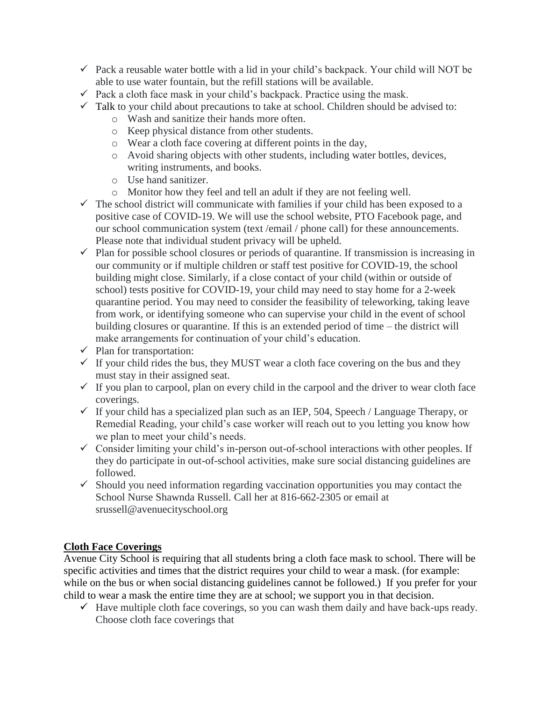- $\checkmark$  Pack a reusable water bottle with a lid in your child's backpack. Your child will NOT be able to use water fountain, but the refill stations will be available.
- $\checkmark$  Pack a cloth face mask in your child's backpack. Practice using the mask.
- $\checkmark$  [Talk](https://www.cdc.gov/coronavirus/2019-ncov/daily-life-coping/talking-with-children.html) to your child about precautions to take at school. Children should be advised to:
	- o Wash and sanitize their hands more often.
	- o Keep physical distance from other students.
	- o Wear a cloth face covering at different points in the day,
	- o Avoid sharing objects with other students, including water bottles, devices, writing instruments, and books.
	- o Use hand sanitizer.
	- o Monitor how they feel and tell an adult if they are not feeling well.
- $\checkmark$  The school district will communicate with families if your child has been exposed to a positive case of COVID-19. We will use the school website, PTO Facebook page, and our school communication system (text /email / phone call) for these announcements. Please note that individual student privacy will be upheld.
- $\checkmark$  Plan for possible school closures or periods of quarantine. If transmission is increasing in our community or if multiple children or staff test positive for COVID-19, the school building might close. Similarly, if a close contact of your child (within or outside of school) tests positive for COVID-19, your child may need to stay home for a 2-week quarantine period. You may need to consider the feasibility of teleworking, taking leave from work, or identifying someone who can supervise your child in the event of school building closures or quarantine. If this is an extended period of time – the district will make arrangements for continuation of your child's education.
- $\checkmark$  Plan for transportation:
- $\checkmark$  If your child rides the bus, they MUST wear a cloth face covering on the bus and they must stay in their assigned seat.
- $\checkmark$  If you plan to carpool, plan on every child in the carpool and the driver to wear cloth face coverings.
- $\checkmark$  If your child has a specialized plan such as an IEP, 504, Speech / Language Therapy, or Remedial Reading, your child's case worker will reach out to you letting you know how we plan to meet your child's needs.
- $\checkmark$  Consider limiting your child's in-person out-of-school interactions with other peoples. If they do participate in out-of-school activities, make sure social distancing guidelines are followed.
- $\checkmark$  Should you need information regarding vaccination opportunities you may contact the School Nurse Shawnda Russell. Call her at 816-662-2305 or email at srussell@avenuecityschool.org

# **Cloth Face Coverings**

Avenue City School is requiring that all students bring a cloth face mask to school. There will be specific activities and times that the district requires your child to wear a mask. (for example: while on the bus or when social distancing guidelines cannot be followed.) If you prefer for your child to wear a mask the entire time they are at school; we support you in that decision.

 $\checkmark$  Have multiple cloth face coverings, so you can wash them daily and have back-ups ready. Choose cloth face coverings that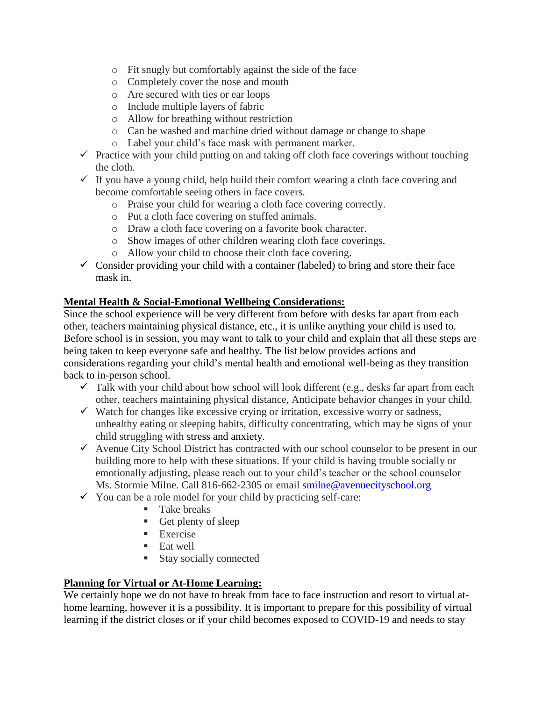- o Fit snugly but comfortably against the side of the face
- o Completely cover the nose and mouth
- o Are secured with ties or ear loops
- o Include multiple layers of fabric
- o Allow for breathing without restriction
- o Can be washed and machine dried without damage or change to shape
- o Label your child's face mask with permanent marker.
- $\checkmark$  Practice with your child putting on and taking off cloth face coverings without touching the cloth.
- $\checkmark$  If you have a young child, help build their comfort wearing a cloth face covering and become comfortable seeing others in face covers.
	- o Praise your child for wearing a cloth face covering correctly.
	- o Put a cloth face covering on stuffed animals.
	- o Draw a cloth face covering on a favorite book character.
	- o Show images of other children wearing cloth face coverings.
	- o Allow your child to choose their cloth face covering.
- $\checkmark$  Consider providing your child with a container (labeled) to bring and store their face mask in.

## **Mental Health & Social-Emotional Wellbeing Considerations:**

Since the school experience will be very different from before with desks far apart from each other, teachers maintaining physical distance, etc., it is unlike anything your child is used to. Before school is in session, you may want to talk to your child and explain that all these steps are being taken to keep everyone safe and healthy. The list below provides actions and considerations regarding your child's mental health and emotional well-being as they transition back to in-person school.

- $\checkmark$  Talk with your child about how school will look different (e.g., desks far apart from each other, teachers maintaining physical distance, Anticipate behavior changes in your child.
- $\checkmark$  Watch for changes like excessive crying or irritation, excessive worry or sadness, unhealthy eating or sleeping habits, difficulty concentrating, which may be signs of your child struggling with [stress and anxiety.](https://www.cdc.gov/coronavirus/2019-ncov/daily-life-coping/for-parents.html)
- $\checkmark$  Avenue City School District has contracted with our school counselor to be present in our building more to help with these situations. If your child is having trouble socially or emotionally adjusting, please reach out to your child's teacher or the school counselor Ms. Stormie Milne. Call 816-662-2305 or email [smilne@avenuecityschool.org](mailto:smilne@avenuecityschool.org)
- $\checkmark$  You can be a role model for your child by practicing self-care:
	- **Take breaks**
	- Get plenty of sleep
	- **Exercise**
	- $\blacksquare$  Eat well
	- **Stay socially connected**

# **Planning for Virtual or At-Home Learning:**

We certainly hope we do not have to break from face to face instruction and resort to virtual athome learning, however it is a possibility. It is important to prepare for this possibility of virtual learning if the district closes or if your child becomes exposed to COVID-19 and needs to stay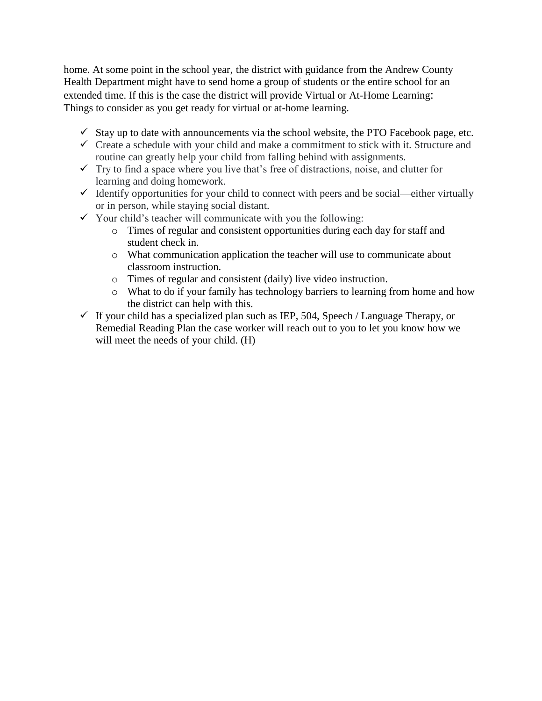home. At some point in the school year, the district with guidance from the Andrew County Health Department might have to send home a group of students or the entire school for an extended time. If this is the case the district will provide Virtual or At-Home Learning: Things to consider as you get ready for virtual or at-home learning.

- $\checkmark$  Stay up to date with announcements via the school website, the PTO Facebook page, etc.
- $\checkmark$  Create a schedule with your child and make a commitment to stick with it. Structure and routine can greatly help your child from falling behind with assignments.
- $\checkmark$  Try to find a space where you live that's free of distractions, noise, and clutter for learning and doing homework.
- $\checkmark$  Identify opportunities for your child to connect with peers and be social—either virtually or in person, while staying social distant.
- $\checkmark$  Your child's teacher will communicate with you the following:
	- o Times of regular and consistent opportunities during each day for staff and student check in.
	- o What communication application the teacher will use to communicate about classroom instruction.
	- o Times of regular and consistent (daily) live video instruction.
	- o What to do if your family has technology barriers to learning from home and how the district can help with this.
- $\checkmark$  If your child has a specialized plan such as IEP, 504, Speech / Language Therapy, or Remedial Reading Plan the case worker will reach out to you to let you know how we will meet the needs of your child. (H)